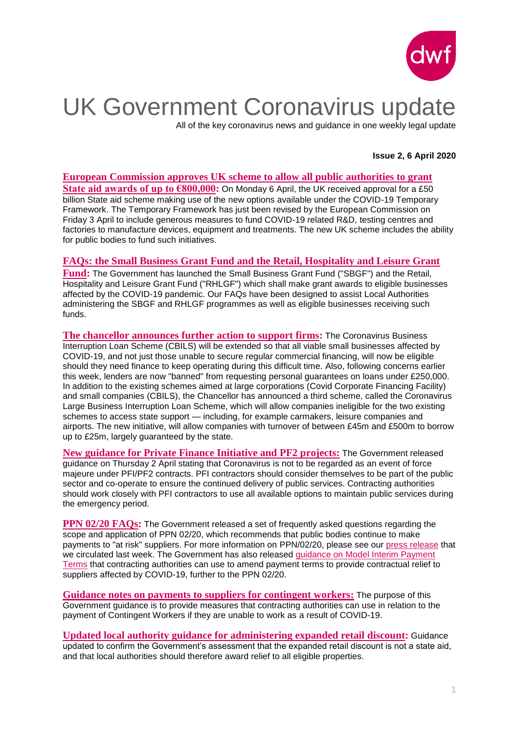

# UK Government Coronavirus update

All of the key coronavirus news and guidance in one weekly legal update

### **Issue 2, 6 April 2020**

**[European Commission approves UK scheme to allow all public authorities to grant](https://www.dwf.law/Legal-Insights/2020/April/Scheme-approved-to-grant-State-aid-awards)  [State aid awards of up to €800,000:](https://www.dwf.law/Legal-Insights/2020/April/Scheme-approved-to-grant-State-aid-awards)** On Monday 6 April, the UK received approval for a £50 billion State aid scheme making use of the new options available under the COVID-19 Temporary Framework. The Temporary Framework has just been revised by the European Commission on Friday 3 April to include generous measures to fund COVID-19 related R&D, testing centres and factories to manufacture devices, equipment and treatments. The new UK scheme includes the ability for public bodies to fund such initiatives.

### **[FAQs: the Small Business Grant Fund and the Retail, Hospitality and Leisure Grant](https://www.dwf.law/Legal-Insights/2020/April/FAQs-the-Small-Business-Grant-Fund-and-the-RFH-Grant-Fund)**

**[Fund:](https://www.dwf.law/Legal-Insights/2020/April/FAQs-the-Small-Business-Grant-Fund-and-the-RFH-Grant-Fund)** The Government has launched the Small Business Grant Fund ("SBGF") and the Retail, Hospitality and Leisure Grant Fund ("RHLGF") which shall make grant awards to eligible businesses affected by the COVID-19 pandemic. Our FAQs have been designed to assist Local Authorities administering the SBGF and RHLGF programmes as well as eligible businesses receiving such funds.

**[The chancellor announces further](https://www.gov.uk/government/news/chancellor-strengthens-support-on-offer-for-business-as-first-government-backed-loans-reach-firms-in-need) action to support firms:** The Coronavirus Business Interruption Loan Scheme (CBILS) will be extended so that all viable small businesses affected by COVID-19, and not just those unable to secure regular commercial financing, will now be eligible should they need finance to keep operating during this difficult time. Also, following concerns earlier this week, lenders are now "banned" from requesting personal guarantees on loans under £250,000. In addition to the existing schemes aimed at large corporations (Covid Corporate Financing Facility) and small companies (CBILS), the Chancellor has announced a third scheme, called the Coronavirus Large Business Interruption Loan Scheme, which will allow companies ineligible for the two existing schemes to access state support — including, for example carmakers, leisure companies and airports. The new initiative, will allow companies with turnover of between £45m and £500m to borrow up to £25m, largely guaranteed by the state.

**[New guidance for Private Finance Initiative and PF2 projects:](https://assets.publishing.service.gov.uk/government/uploads/system/uploads/attachment_data/file/877804/2020_04_01_PFI_and_COVID19_final.docx.pdf)** The Government released guidance on Thursday 2 April stating that Coronavirus is not to be regarded as an event of force majeure under PFI/PF2 contracts. PFI contractors should consider themselves to be part of the public sector and co-operate to ensure the continued delivery of public services. Contracting authorities should work closely with PFI contractors to use all available options to maintain public services during the emergency period.

**PPN 02/20 FAOs:** The Government released a set of frequently asked questions regarding the scope and application of PPN 02/20, which recommends that public bodies continue to make payments to "at risk" suppliers. For more information on PPN/02/20, please see our [press release](https://www.dwf.law/Legal-Insights/2020/March/UK-Government-issues-guidance-recommending-that-public-bodies-continue-making-payments) that we circulated last week. The Government has also released guidance on Model Interim Payment [Terms](https://assets.publishing.service.gov.uk/government/uploads/system/uploads/attachment_data/file/877260/PPN02_20_Model_Interim_Payment_Terms_v1.pdf) that contracting authorities can use to amend payment terms to provide contractual relief to suppliers affected by COVID-19, further to the PPN 02/20.

**[Guidance notes on payments to suppliers for contingent workers:](https://assets.publishing.service.gov.uk/government/uploads/system/uploads/attachment_data/file/877221/PPN02_20-Contingent-Workers-Impacted-by-Covid-19-2.pdf)** The purpose of this Government guidance is to provide measures that contracting authorities can use in relation to the payment of Contingent Workers if they are unable to work as a result of COVID-19.

**[Updated local authority guidance for administering expanded retail](https://assets.publishing.service.gov.uk/government/uploads/system/uploads/attachment_data/file/877758/Expanded_Retail_Discount_Guidance_02.04.20.pdf) discount:** Guidance updated to confirm the Government's assessment that the expanded retail discount is not a state aid, and that local authorities should therefore award relief to all eligible properties.